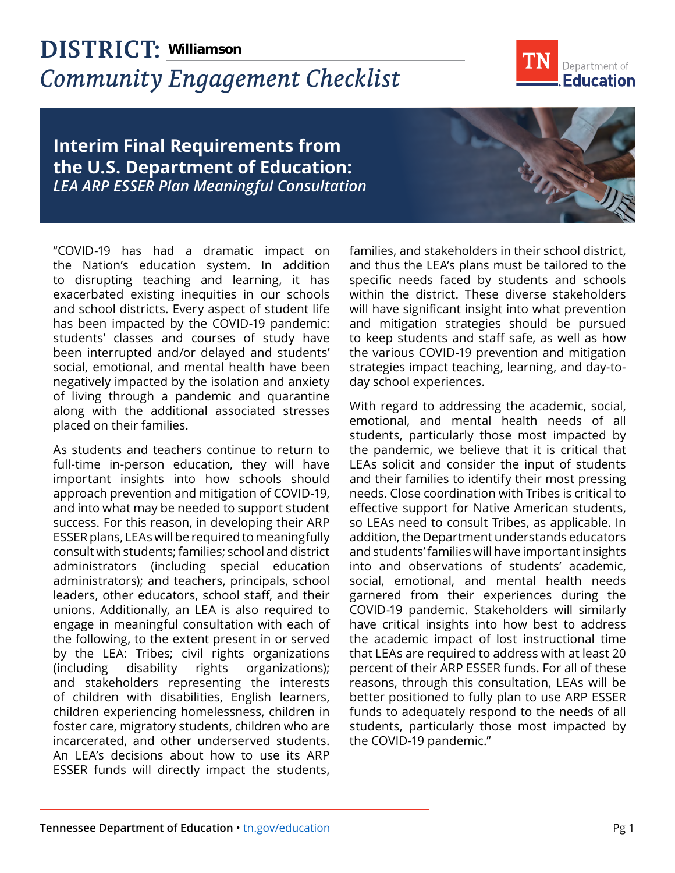## **DISTRICT: Williamson***Community Engagement Checklist*



## **Interim Final Requirements from the U.S. Department of Education:**  *LEA ARP ESSER Plan Meaningful Consultation*

"COVID-19 has had a dramatic impact on the Nation's education system. In addition to disrupting teaching and learning, it has exacerbated existing inequities in our schools and school districts. Every aspect of student life has been impacted by the COVID-19 pandemic: students' classes and courses of study have been interrupted and/or delayed and students' social, emotional, and mental health have been negatively impacted by the isolation and anxiety of living through a pandemic and quarantine along with the additional associated stresses placed on their families.

As students and teachers continue to return to full-time in-person education, they will have important insights into how schools should approach prevention and mitigation of COVID-19, and into what may be needed to support student success. For this reason, in developing their ARP ESSER plans, LEAs will be required to meaningfully consult with students; families; school and district administrators (including special education administrators); and teachers, principals, school leaders, other educators, school staff, and their unions. Additionally, an LEA is also required to engage in meaningful consultation with each of the following, to the extent present in or served by the LEA: Tribes; civil rights organizations (including disability rights organizations); and stakeholders representing the interests of children with disabilities, English learners, children experiencing homelessness, children in foster care, migratory students, children who are incarcerated, and other underserved students. An LEA's decisions about how to use its ARP ESSER funds will directly impact the students,

families, and stakeholders in their school district, and thus the LEA's plans must be tailored to the specific needs faced by students and schools within the district. These diverse stakeholders will have significant insight into what prevention and mitigation strategies should be pursued to keep students and staff safe, as well as how the various COVID-19 prevention and mitigation strategies impact teaching, learning, and day-today school experiences.

With regard to addressing the academic, social, emotional, and mental health needs of all students, particularly those most impacted by the pandemic, we believe that it is critical that LEAs solicit and consider the input of students and their families to identify their most pressing needs. Close coordination with Tribes is critical to effective support for Native American students, so LEAs need to consult Tribes, as applicable. In addition, the Department understands educators and students' families will have important insights into and observations of students' academic, social, emotional, and mental health needs garnered from their experiences during the COVID-19 pandemic. Stakeholders will similarly have critical insights into how best to address the academic impact of lost instructional time that LEAs are required to address with at least 20 percent of their ARP ESSER funds. For all of these reasons, through this consultation, LEAs will be better positioned to fully plan to use ARP ESSER funds to adequately respond to the needs of all students, particularly those most impacted by the COVID-19 pandemic."